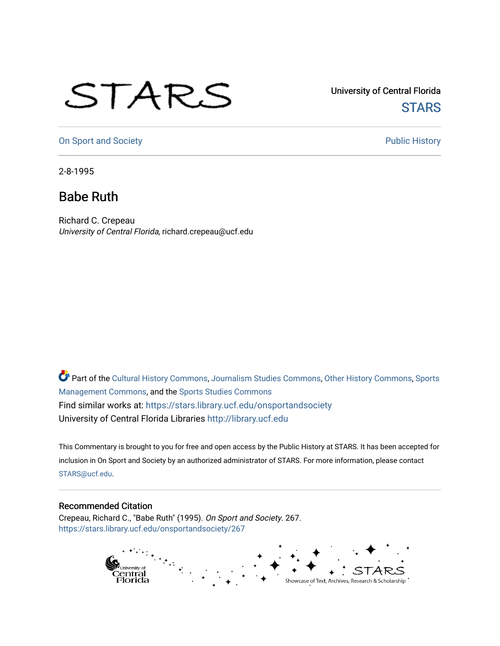## STARS

University of Central Florida **STARS** 

[On Sport and Society](https://stars.library.ucf.edu/onsportandsociety) **Public History** Public History

2-8-1995

## Babe Ruth

Richard C. Crepeau University of Central Florida, richard.crepeau@ucf.edu

Part of the [Cultural History Commons](http://network.bepress.com/hgg/discipline/496?utm_source=stars.library.ucf.edu%2Fonsportandsociety%2F267&utm_medium=PDF&utm_campaign=PDFCoverPages), [Journalism Studies Commons,](http://network.bepress.com/hgg/discipline/333?utm_source=stars.library.ucf.edu%2Fonsportandsociety%2F267&utm_medium=PDF&utm_campaign=PDFCoverPages) [Other History Commons,](http://network.bepress.com/hgg/discipline/508?utm_source=stars.library.ucf.edu%2Fonsportandsociety%2F267&utm_medium=PDF&utm_campaign=PDFCoverPages) [Sports](http://network.bepress.com/hgg/discipline/1193?utm_source=stars.library.ucf.edu%2Fonsportandsociety%2F267&utm_medium=PDF&utm_campaign=PDFCoverPages) [Management Commons](http://network.bepress.com/hgg/discipline/1193?utm_source=stars.library.ucf.edu%2Fonsportandsociety%2F267&utm_medium=PDF&utm_campaign=PDFCoverPages), and the [Sports Studies Commons](http://network.bepress.com/hgg/discipline/1198?utm_source=stars.library.ucf.edu%2Fonsportandsociety%2F267&utm_medium=PDF&utm_campaign=PDFCoverPages) Find similar works at: <https://stars.library.ucf.edu/onsportandsociety> University of Central Florida Libraries [http://library.ucf.edu](http://library.ucf.edu/) 

This Commentary is brought to you for free and open access by the Public History at STARS. It has been accepted for inclusion in On Sport and Society by an authorized administrator of STARS. For more information, please contact [STARS@ucf.edu](mailto:STARS@ucf.edu).

## Recommended Citation

Crepeau, Richard C., "Babe Ruth" (1995). On Sport and Society. 267. [https://stars.library.ucf.edu/onsportandsociety/267](https://stars.library.ucf.edu/onsportandsociety/267?utm_source=stars.library.ucf.edu%2Fonsportandsociety%2F267&utm_medium=PDF&utm_campaign=PDFCoverPages)

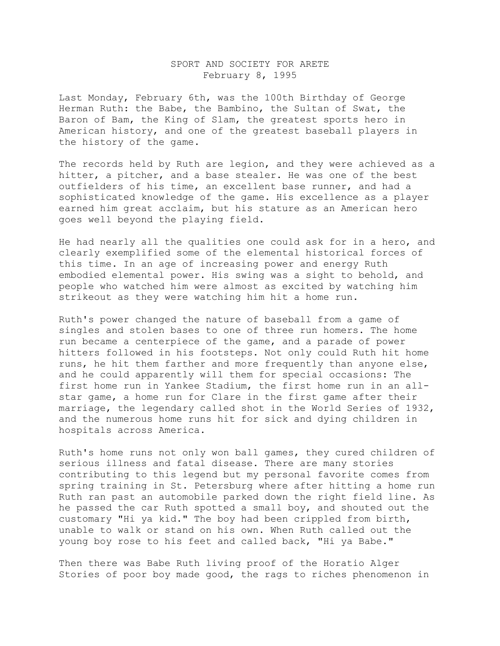## SPORT AND SOCIETY FOR ARETE February 8, 1995

Last Monday, February 6th, was the 100th Birthday of George Herman Ruth: the Babe, the Bambino, the Sultan of Swat, the Baron of Bam, the King of Slam, the greatest sports hero in American history, and one of the greatest baseball players in the history of the game.

The records held by Ruth are legion, and they were achieved as a hitter, a pitcher, and a base stealer. He was one of the best outfielders of his time, an excellent base runner, and had a sophisticated knowledge of the game. His excellence as a player earned him great acclaim, but his stature as an American hero goes well beyond the playing field.

He had nearly all the qualities one could ask for in a hero, and clearly exemplified some of the elemental historical forces of this time. In an age of increasing power and energy Ruth embodied elemental power. His swing was a sight to behold, and people who watched him were almost as excited by watching him strikeout as they were watching him hit a home run.

Ruth's power changed the nature of baseball from a game of singles and stolen bases to one of three run homers. The home run became a centerpiece of the game, and a parade of power hitters followed in his footsteps. Not only could Ruth hit home runs, he hit them farther and more frequently than anyone else, and he could apparently will them for special occasions: The first home run in Yankee Stadium, the first home run in an allstar game, a home run for Clare in the first game after their marriage, the legendary called shot in the World Series of 1932, and the numerous home runs hit for sick and dying children in hospitals across America.

Ruth's home runs not only won ball games, they cured children of serious illness and fatal disease. There are many stories contributing to this legend but my personal favorite comes from spring training in St. Petersburg where after hitting a home run Ruth ran past an automobile parked down the right field line. As he passed the car Ruth spotted a small boy, and shouted out the customary "Hi ya kid." The boy had been crippled from birth, unable to walk or stand on his own. When Ruth called out the young boy rose to his feet and called back, "Hi ya Babe."

Then there was Babe Ruth living proof of the Horatio Alger Stories of poor boy made good, the rags to riches phenomenon in